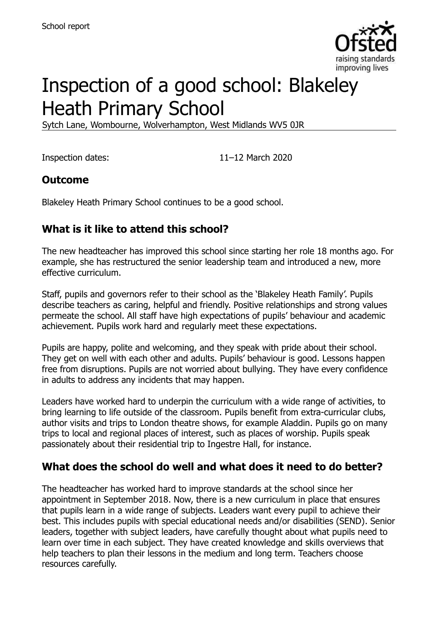

# Inspection of a good school: Blakeley Heath Primary School

Sytch Lane, Wombourne, Wolverhampton, West Midlands WV5 0JR

Inspection dates: 11–12 March 2020

# **Outcome**

Blakeley Heath Primary School continues to be a good school.

# **What is it like to attend this school?**

The new headteacher has improved this school since starting her role 18 months ago. For example, she has restructured the senior leadership team and introduced a new, more effective curriculum.

Staff, pupils and governors refer to their school as the 'Blakeley Heath Family'. Pupils describe teachers as caring, helpful and friendly. Positive relationships and strong values permeate the school. All staff have high expectations of pupils' behaviour and academic achievement. Pupils work hard and regularly meet these expectations.

Pupils are happy, polite and welcoming, and they speak with pride about their school. They get on well with each other and adults. Pupils' behaviour is good. Lessons happen free from disruptions. Pupils are not worried about bullying. They have every confidence in adults to address any incidents that may happen.

Leaders have worked hard to underpin the curriculum with a wide range of activities, to bring learning to life outside of the classroom. Pupils benefit from extra-curricular clubs, author visits and trips to London theatre shows, for example Aladdin. Pupils go on many trips to local and regional places of interest, such as places of worship. Pupils speak passionately about their residential trip to Ingestre Hall, for instance.

#### **What does the school do well and what does it need to do better?**

The headteacher has worked hard to improve standards at the school since her appointment in September 2018. Now, there is a new curriculum in place that ensures that pupils learn in a wide range of subjects. Leaders want every pupil to achieve their best. This includes pupils with special educational needs and/or disabilities (SEND). Senior leaders, together with subject leaders, have carefully thought about what pupils need to learn over time in each subject. They have created knowledge and skills overviews that help teachers to plan their lessons in the medium and long term. Teachers choose resources carefully.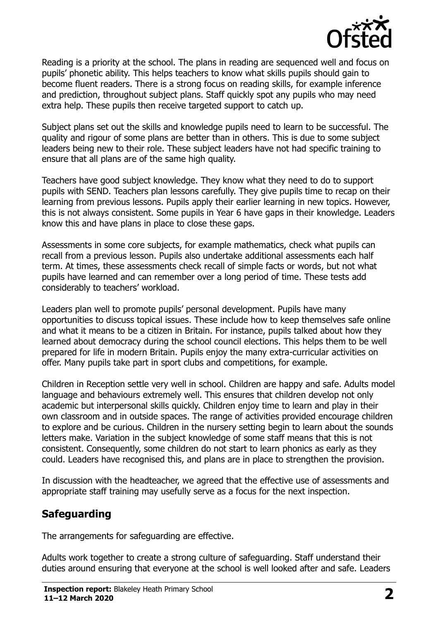

Reading is a priority at the school. The plans in reading are sequenced well and focus on pupils' phonetic ability. This helps teachers to know what skills pupils should gain to become fluent readers. There is a strong focus on reading skills, for example inference and prediction, throughout subject plans. Staff quickly spot any pupils who may need extra help. These pupils then receive targeted support to catch up.

Subject plans set out the skills and knowledge pupils need to learn to be successful. The quality and rigour of some plans are better than in others. This is due to some subject leaders being new to their role. These subject leaders have not had specific training to ensure that all plans are of the same high quality.

Teachers have good subject knowledge. They know what they need to do to support pupils with SEND. Teachers plan lessons carefully. They give pupils time to recap on their learning from previous lessons. Pupils apply their earlier learning in new topics. However, this is not always consistent. Some pupils in Year 6 have gaps in their knowledge. Leaders know this and have plans in place to close these gaps.

Assessments in some core subjects, for example mathematics, check what pupils can recall from a previous lesson. Pupils also undertake additional assessments each half term. At times, these assessments check recall of simple facts or words, but not what pupils have learned and can remember over a long period of time. These tests add considerably to teachers' workload.

Leaders plan well to promote pupils' personal development. Pupils have many opportunities to discuss topical issues. These include how to keep themselves safe online and what it means to be a citizen in Britain. For instance, pupils talked about how they learned about democracy during the school council elections. This helps them to be well prepared for life in modern Britain. Pupils enjoy the many extra-curricular activities on offer. Many pupils take part in sport clubs and competitions, for example.

Children in Reception settle very well in school. Children are happy and safe. Adults model language and behaviours extremely well. This ensures that children develop not only academic but interpersonal skills quickly. Children enjoy time to learn and play in their own classroom and in outside spaces. The range of activities provided encourage children to explore and be curious. Children in the nursery setting begin to learn about the sounds letters make. Variation in the subject knowledge of some staff means that this is not consistent. Consequently, some children do not start to learn phonics as early as they could. Leaders have recognised this, and plans are in place to strengthen the provision.

In discussion with the headteacher, we agreed that the effective use of assessments and appropriate staff training may usefully serve as a focus for the next inspection.

# **Safeguarding**

The arrangements for safeguarding are effective.

Adults work together to create a strong culture of safeguarding. Staff understand their duties around ensuring that everyone at the school is well looked after and safe. Leaders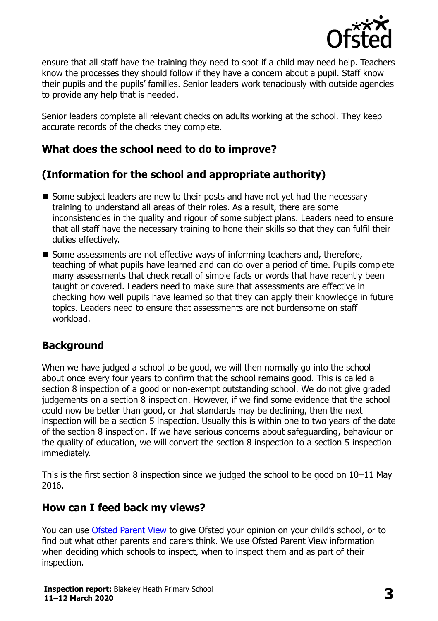

ensure that all staff have the training they need to spot if a child may need help. Teachers know the processes they should follow if they have a concern about a pupil. Staff know their pupils and the pupils' families. Senior leaders work tenaciously with outside agencies to provide any help that is needed.

Senior leaders complete all relevant checks on adults working at the school. They keep accurate records of the checks they complete.

# **What does the school need to do to improve?**

# **(Information for the school and appropriate authority)**

- Some subject leaders are new to their posts and have not yet had the necessary training to understand all areas of their roles. As a result, there are some inconsistencies in the quality and rigour of some subject plans. Leaders need to ensure that all staff have the necessary training to hone their skills so that they can fulfil their duties effectively.
- Some assessments are not effective ways of informing teachers and, therefore, teaching of what pupils have learned and can do over a period of time. Pupils complete many assessments that check recall of simple facts or words that have recently been taught or covered. Leaders need to make sure that assessments are effective in checking how well pupils have learned so that they can apply their knowledge in future topics. Leaders need to ensure that assessments are not burdensome on staff workload.

# **Background**

When we have judged a school to be good, we will then normally go into the school about once every four years to confirm that the school remains good. This is called a section 8 inspection of a good or non-exempt outstanding school. We do not give graded judgements on a section 8 inspection. However, if we find some evidence that the school could now be better than good, or that standards may be declining, then the next inspection will be a section 5 inspection. Usually this is within one to two years of the date of the section 8 inspection. If we have serious concerns about safeguarding, behaviour or the quality of education, we will convert the section 8 inspection to a section 5 inspection immediately.

This is the first section 8 inspection since we judged the school to be good on 10–11 May 2016.

#### **How can I feed back my views?**

You can use [Ofsted Parent View](https://parentview.ofsted.gov.uk/) to give Ofsted your opinion on your child's school, or to find out what other parents and carers think. We use Ofsted Parent View information when deciding which schools to inspect, when to inspect them and as part of their inspection.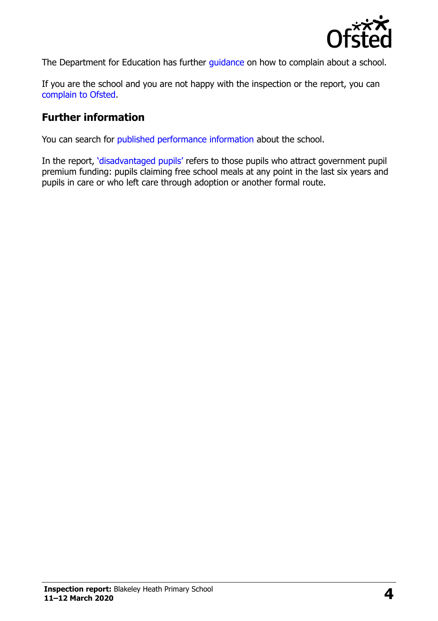

The Department for Education has further quidance on how to complain about a school.

If you are the school and you are not happy with the inspection or the report, you can [complain to Ofsted.](https://www.gov.uk/complain-ofsted-report)

#### **Further information**

You can search for [published performance information](http://www.compare-school-performance.service.gov.uk/) about the school.

In the report, '[disadvantaged pupils](http://www.gov.uk/guidance/pupil-premium-information-for-schools-and-alternative-provision-settings)' refers to those pupils who attract government pupil premium funding: pupils claiming free school meals at any point in the last six years and pupils in care or who left care through adoption or another formal route.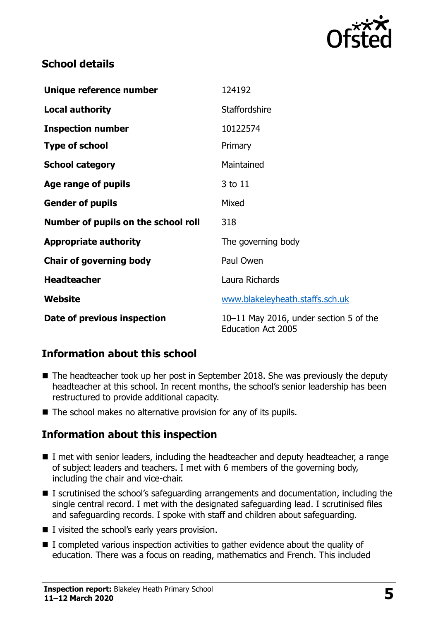

#### **School details**

| Unique reference number             | 124192                                                              |
|-------------------------------------|---------------------------------------------------------------------|
| <b>Local authority</b>              | <b>Staffordshire</b>                                                |
| <b>Inspection number</b>            | 10122574                                                            |
| <b>Type of school</b>               | Primary                                                             |
| <b>School category</b>              | Maintained                                                          |
| Age range of pupils                 | 3 to 11                                                             |
| <b>Gender of pupils</b>             | Mixed                                                               |
| Number of pupils on the school roll | 318                                                                 |
| <b>Appropriate authority</b>        | The governing body                                                  |
| <b>Chair of governing body</b>      | Paul Owen                                                           |
| <b>Headteacher</b>                  | Laura Richards                                                      |
| Website                             | www.blakeleyheath.staffs.sch.uk                                     |
| Date of previous inspection         | 10-11 May 2016, under section 5 of the<br><b>Education Act 2005</b> |

# **Information about this school**

- The headteacher took up her post in September 2018. She was previously the deputy headteacher at this school. In recent months, the school's senior leadership has been restructured to provide additional capacity.
- The school makes no alternative provision for any of its pupils.

#### **Information about this inspection**

- I met with senior leaders, including the headteacher and deputy headteacher, a range of subject leaders and teachers. I met with 6 members of the governing body, including the chair and vice-chair.
- I scrutinised the school's safeguarding arrangements and documentation, including the single central record. I met with the designated safeguarding lead. I scrutinised files and safeguarding records. I spoke with staff and children about safeguarding.
- I visited the school's early years provision.
- $\blacksquare$  I completed various inspection activities to gather evidence about the quality of education. There was a focus on reading, mathematics and French. This included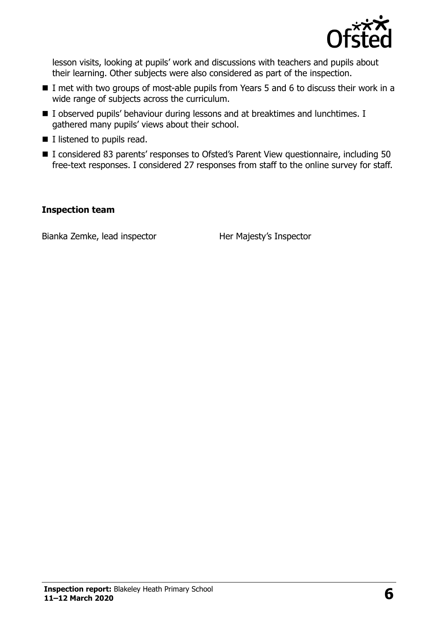

lesson visits, looking at pupils' work and discussions with teachers and pupils about their learning. Other subjects were also considered as part of the inspection.

- I met with two groups of most-able pupils from Years 5 and 6 to discuss their work in a wide range of subjects across the curriculum.
- I observed pupils' behaviour during lessons and at breaktimes and lunchtimes. I gathered many pupils' views about their school.
- $\blacksquare$  I listened to pupils read.
- I considered 83 parents' responses to Ofsted's Parent View questionnaire, including 50 free-text responses. I considered 27 responses from staff to the online survey for staff.

#### **Inspection team**

Bianka Zemke, lead inspector **Her Majesty's Inspector**